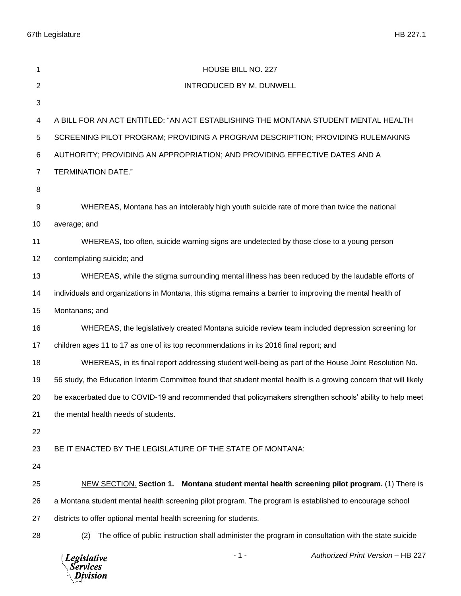67th Legislature HB 227.1

| 1              | HOUSE BILL NO. 227                                                                                               |
|----------------|------------------------------------------------------------------------------------------------------------------|
| $\overline{2}$ | INTRODUCED BY M. DUNWELL                                                                                         |
| $\mathbf{3}$   |                                                                                                                  |
| 4              | A BILL FOR AN ACT ENTITLED: "AN ACT ESTABLISHING THE MONTANA STUDENT MENTAL HEALTH                               |
| $\,$ 5 $\,$    | SCREENING PILOT PROGRAM; PROVIDING A PROGRAM DESCRIPTION; PROVIDING RULEMAKING                                   |
| 6              | AUTHORITY; PROVIDING AN APPROPRIATION; AND PROVIDING EFFECTIVE DATES AND A                                       |
| $\overline{7}$ | <b>TERMINATION DATE."</b>                                                                                        |
| 8              |                                                                                                                  |
| 9              | WHEREAS, Montana has an intolerably high youth suicide rate of more than twice the national                      |
| 10             | average; and                                                                                                     |
| 11             | WHEREAS, too often, suicide warning signs are undetected by those close to a young person                        |
| 12             | contemplating suicide; and                                                                                       |
| 13             | WHEREAS, while the stigma surrounding mental illness has been reduced by the laudable efforts of                 |
| 14             | individuals and organizations in Montana, this stigma remains a barrier to improving the mental health of        |
| 15             | Montanans; and                                                                                                   |
| 16             | WHEREAS, the legislatively created Montana suicide review team included depression screening for                 |
| 17             | children ages 11 to 17 as one of its top recommendations in its 2016 final report; and                           |
| 18             | WHEREAS, in its final report addressing student well-being as part of the House Joint Resolution No.             |
| 19             | 56 study, the Education Interim Committee found that student mental health is a growing concern that will likely |
| 20             | be exacerbated due to COVID-19 and recommended that policymakers strengthen schools' ability to help meet        |
| 21             | the mental health needs of students.                                                                             |
| 22             |                                                                                                                  |
| 23             | BE IT ENACTED BY THE LEGISLATURE OF THE STATE OF MONTANA:                                                        |
| 24             |                                                                                                                  |
| 25             | NEW SECTION. Section 1. Montana student mental health screening pilot program. (1) There is                      |
| 26             | a Montana student mental health screening pilot program. The program is established to encourage school          |
| 27             | districts to offer optional mental health screening for students.                                                |
| 28             | The office of public instruction shall administer the program in consultation with the state suicide<br>(2)      |
|                | Authorized Print Version - HB 227<br>- 1 -<br><b>Legislative</b><br>Services<br>Division                         |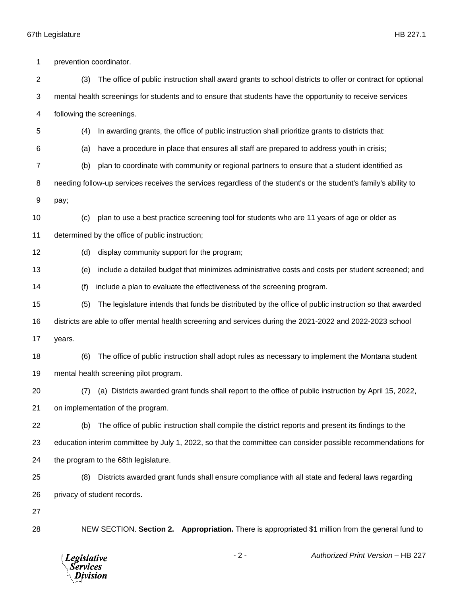## 67th Legislature HB 227.1

 prevention coordinator. (3) The office of public instruction shall award grants to school districts to offer or contract for optional mental health screenings for students and to ensure that students have the opportunity to receive services following the screenings. (4) In awarding grants, the office of public instruction shall prioritize grants to districts that: (a) have a procedure in place that ensures all staff are prepared to address youth in crisis; (b) plan to coordinate with community or regional partners to ensure that a student identified as needing follow-up services receives the services regardless of the student's or the student's family's ability to pay; (c) plan to use a best practice screening tool for students who are 11 years of age or older as determined by the office of public instruction; (d) display community support for the program; (e) include a detailed budget that minimizes administrative costs and costs per student screened; and (f) include a plan to evaluate the effectiveness of the screening program. (5) The legislature intends that funds be distributed by the office of public instruction so that awarded districts are able to offer mental health screening and services during the 2021-2022 and 2022-2023 school years. (6) The office of public instruction shall adopt rules as necessary to implement the Montana student mental health screening pilot program. (7) (a) Districts awarded grant funds shall report to the office of public instruction by April 15, 2022, on implementation of the program. (b) The office of public instruction shall compile the district reports and present its findings to the education interim committee by July 1, 2022, so that the committee can consider possible recommendations for the program to the 68th legislature. (8) Districts awarded grant funds shall ensure compliance with all state and federal laws regarding privacy of student records. NEW SECTION. **Section 2. Appropriation.** There is appropriated \$1 million from the general fund to